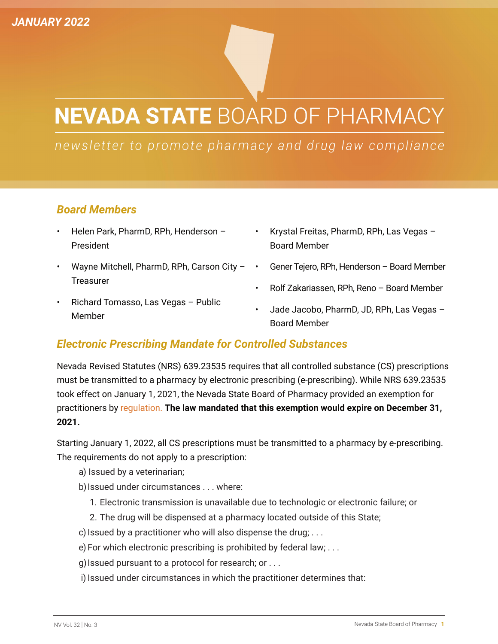## **NEVADA STATE BOARD OF PHARMACY**

## newsletter to promote pharmacy and drug law compliance

## *Board Members*

- Helen Park, PharmD, RPh, Henderson President
- Wayne Mitchell, PharmD, RPh, Carson City **Treasurer**
- Krystal Freitas, PharmD, RPh, Las Vegas Board Member
- Gener Tejero, RPh, Henderson Board Member
- Rolf Zakariassen, RPh, Reno Board Member
- Richard Tomasso, Las Vegas Public Member
- Jade Jacobo, PharmD, JD, RPh, Las Vegas Board Member

## *Electronic Prescribing Mandate for Controlled Substances*

Nevada Revised Statutes (NRS) 639.23535 requires that all controlled substance (CS) prescriptions must be transmitted to a pharmacy by electronic prescribing (e-prescribing). While NRS 639.23535 took effect on January 1, 2021, the Nevada State Board of Pharmacy provided an exemption for practitioners by [regulation.](https://www.leg.state.nv.us/Register/2020Register/R083-20AP.pdf) **The law mandated that this exemption would expire on December 31, 2021.**

Starting January 1, 2022, all CS prescriptions must be transmitted to a pharmacy by e-prescribing. The requirements do not apply to a prescription:

- a) Issued by a veterinarian;
- b) Issued under circumstances . . . where:
	- 1. Electronic transmission is unavailable due to technologic or electronic failure; or
	- 2. The drug will be dispensed at a pharmacy located outside of this State;
- c) Issued by a practitioner who will also dispense the drug;  $\dots$
- e) For which electronic prescribing is prohibited by federal law; . . .
- g) Issued pursuant to a protocol for research; or . . .
- i) Issued under circumstances in which the practitioner determines that: